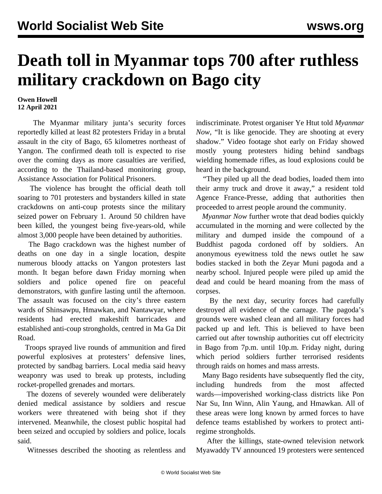## **Death toll in Myanmar tops 700 after ruthless military crackdown on Bago city**

## **Owen Howell 12 April 2021**

 The Myanmar military junta's security forces reportedly killed at least 82 protesters Friday in a brutal assault in the city of Bago, 65 kilometres northeast of Yangon. The confirmed death toll is expected to rise over the coming days as more casualties are verified, according to the Thailand-based monitoring group, Assistance Association for Political Prisoners.

 The violence has brought the official death toll soaring to 701 protesters and bystanders killed in state crackdowns on anti-coup protests since the military seized power on February 1. Around 50 children have been killed, the youngest being five-years-old, while almost 3,000 people have been detained by authorities.

 The Bago crackdown was the highest number of deaths on one day in a single location, despite numerous bloody attacks on Yangon protesters last month. It began before dawn Friday morning when soldiers and police opened fire on peaceful demonstrators, with gunfire lasting until the afternoon. The assault was focused on the city's three eastern wards of Shinsawpu, Hmawkan, and Nantawyar, where residents had erected makeshift barricades and established anti-coup strongholds, centred in Ma Ga Dit Road.

 Troops sprayed live rounds of ammunition and fired powerful explosives at protesters' defensive lines, protected by sandbag barriers. Local media said heavy weaponry was used to break up protests, including rocket-propelled grenades and mortars.

 The dozens of severely wounded were deliberately denied medical assistance by soldiers and rescue workers were threatened with being shot if they intervened. Meanwhile, the closest public hospital had been seized and occupied by soldiers and police, locals said.

Witnesses described the shooting as relentless and

indiscriminate. Protest organiser Ye Htut told *Myanmar Now*, "It is like genocide. They are shooting at every shadow." Video footage shot early on Friday showed mostly young protesters hiding behind sandbags wielding homemade rifles, as loud explosions could be heard in the background.

 "They piled up all the dead bodies, loaded them into their army truck and drove it away," a resident told Agence France-Presse, adding that authorities then proceeded to arrest people around the community.

 *Myanmar Now* further wrote that dead bodies quickly accumulated in the morning and were collected by the military and dumped inside the compound of a Buddhist pagoda cordoned off by soldiers. An anonymous eyewitness told the news outlet he saw bodies stacked in both the Zeyar Muni pagoda and a nearby school. Injured people were piled up amid the dead and could be heard moaning from the mass of corpses.

 By the next day, security forces had carefully destroyed all evidence of the carnage. The pagoda's grounds were washed clean and all military forces had packed up and left. This is believed to have been carried out after township authorities cut off electricity in Bago from 7p.m. until 10p.m. Friday night, during which period soldiers further terrorised residents through raids on homes and mass arrests.

 Many Bago residents have subsequently fled the city, including hundreds from the most affected wards—impoverished working-class districts like Pon Nar Su, Inn Winn, Alin Yaung, and Hmawkan. All of these areas were long known by armed forces to have defence teams established by workers to protect antiregime strongholds.

 After the killings, state-owned television network Myawaddy TV announced 19 protesters were sentenced